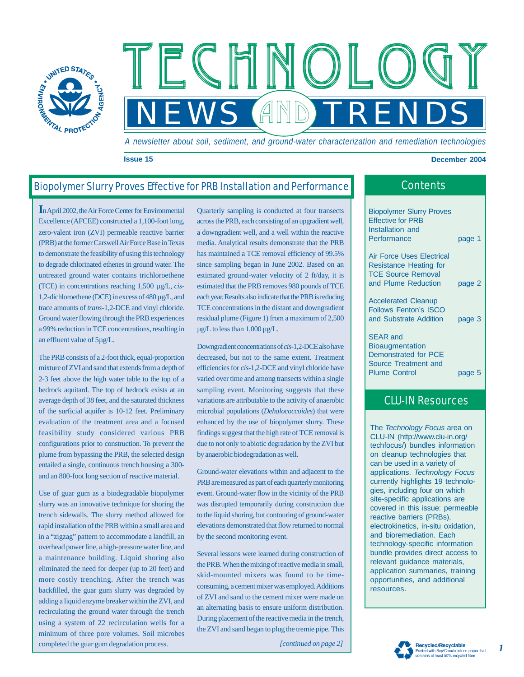

*A newsletter about soil, sediment, and ground-water characterization and remediation technologies*

**NEWS AND TRENDS** 

#### **Issue 15 December 2004**

# Biopolymer Slurry Proves Effective for PRB Installation and Performance

**I**n April 2002, the Air Force Center for Environmental Excellence (AFCEE) constructed a 1,100-foot long, zero-valent iron (ZVI) permeable reactive barrier (PRB) at the former Carswell Air Force Base in Texas to demonstrate the feasibility of using this technology to degrade chlorinated ethenes in ground water. The untreated ground water contains trichloroethene (TCE) in concentrations reaching 1,500 µg/L, *cis*-1,2-dichloroethene (DCE) in excess of 480 µg/L, and trace amounts of *trans*-1,2-DCE and vinyl chloride. Ground water flowing through the PRB experiences a 99% reduction in TCE concentrations, resulting in an effluent value of 5µg/L.

The PRB consists of a 2-foot thick, equal-proportion mixture of ZVI and sand that extends from a depth of 2-3 feet above the high water table to the top of a bedrock aquitard. The top of bedrock exists at an average depth of 38 feet, and the saturated thickness of the surficial aquifer is 10-12 feet. Preliminary evaluation of the treatment area and a focused feasibility study considered various PRB configurations prior to construction. To prevent the plume from bypassing the PRB, the selected design entailed a single, continuous trench housing a 300 and an 800-foot long section of reactive material.

Use of guar gum as a biodegradable biopolymer slurry was an innovative technique for shoring the trench sidewalls. The slurry method allowed for rapid installation of the PRB within a small area and in a "zigzag" pattern to accommodate a landfill, an overhead power line, a high-pressure water line, and a maintenance building. Liquid shoring also eliminated the need for deeper (up to 20 feet) and more costly trenching. After the trench was backfilled, the guar gum slurry was degraded by adding a liquid enzyme breaker within the ZVI, and recirculating the ground water through the trench using a system of 22 recirculation wells for a minimum of three pore volumes. Soil microbes completed the guar gum degradation process.

Quarterly sampling is conducted at four transects across the PRB, each consisting of an upgradient well, a downgradient well, and a well within the reactive media. Analytical results demonstrate that the PRB has maintained a TCE removal efficiency of 99.5% since sampling began in June 2002. Based on an estimated ground-water velocity of 2 ft/day, it is estimated that the PRB removes 980 pounds of TCE each year. Results also indicate that the PRB is reducing TCE concentrations in the distant and downgradient residual plume (Figure 1) from a maximum of 2,500  $\mu$ g/L to less than 1,000  $\mu$ g/L.

TECHNOL

Downgradient concentrations of *cis*-1,2-DCE also have decreased, but not to the same extent. Treatment efficiencies for *cis*-1,2-DCE and vinyl chloride have varied over time and among transects within a single sampling event. Monitoring suggests that these variations are attributable to the activity of anaerobic microbial populations (*Dehalococcoides*) that were enhanced by the use of biopolymer slurry. These findings suggest that the high rate of TCE removal is due to not only to abiotic degradation by the ZVI but by anaerobic biodegradation as well.

Ground-water elevations within and adjacent to the PRB are measured as part of each quarterly monitoring event. Ground-water flow in the vicinity of the PRB was disrupted temporarily during construction due to the liquid shoring, but contouring of ground-water elevations demonstrated that flow returned to normal by the second monitoring event.

Several lessons were learned during construction of the PRB. When the mixing of reactive media in small, skid-mounted mixers was found to be timeconsuming, a cement mixer was employed. Additions of ZVI and sand to the cement mixer were made on an alternating basis to ensure uniform distribution. During placement of the reactive media in the trench, the ZVI and sand began to plug the tremie pipe. This

*[continued on page 2]*

|  | Contents |  |
|--|----------|--|
|  |          |  |

Biopolymer Slurry Proves Effective for PRB Installation and Performance page 1

Air Force Uses Electrical Resistance Heating for TCE Source Removal and Plume Reduction page 2

Accelerated Cleanup Follows Fenton's ISCO and Substrate Addition page 3

SEAR and **Bioaugmentation** Demonstrated for PCE Source Treatment and Plume Control **page 5** 

## CLU-IN Resources

The *Technology Focus* area on CLU-IN (<http://www.clu-in.org/> techfocus/) bundles information on cleanup technologies that can be used in a variety of applications. *Technology Focus* currently highlights 19 technologies, including four on which site-specific applications are covered in this issue: permeable reactive barriers (PRBs), electrokinetics, in-situ oxidation, and bioremediation. Each technology-specific information bundle provides direct access to relevant guidance materials, application summaries, training opportunities, and additional resources.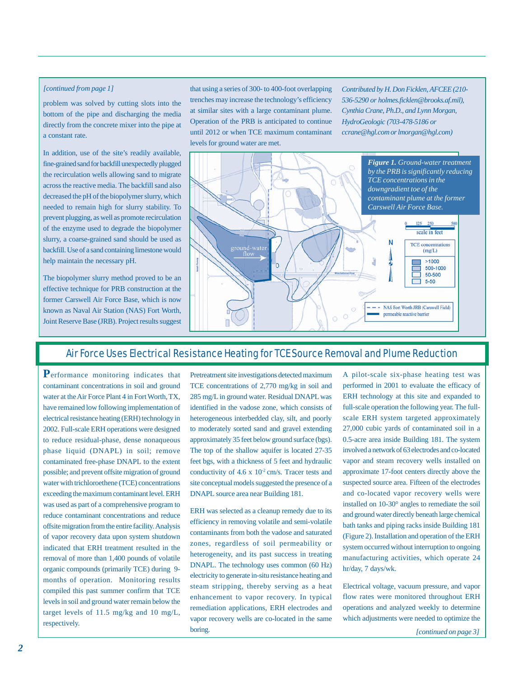#### *[continued from page 1]*

problem was solved by cutting slots into the bottom of the pipe and discharging the media directly from the concrete mixer into the pipe at a constant rate.

In addition, use of the site's readily available, fine-grained sand for backfill unexpectedly plugged the recirculation wells allowing sand to migrate across the reactive media. The backfill sand also decreased the pH of the biopolymer slurry, which needed to remain high for slurry stability. To prevent plugging, as well as promote recirculation of the enzyme used to degrade the biopolymer slurry, a coarse-grained sand should be used as backfill. Use of a sand containing limestone would help maintain the necessary pH.

The biopolymer slurry method proved to be an effective technique for PRB construction at the former Carswell Air Force Base, which is now known as Naval Air Station (NAS) Fort Worth, Joint Reserve Base (JRB). Project results suggest

that using a series of 300- to 400-foot overlapping trenches may increase the technology's efficiency at similar sites with a large contaminant plume. Operation of the PRB is anticipated to continue until 2012 or when TCE maximum contaminant levels for ground water are met.

*Contributed by H. Don Ficklen, AFCEE (210- 536-5290 or holmes.ficklen@brooks.af.mil), Cynthia Crane, Ph.D., and Lynn Morgan, HydroGeologic (703-478-5186 or ccrane@hgl.com or lmorgan@hgl.com)*



### Air Force Uses Electrical Resistance Heating for TCE Source Removal and Plume Reduction

**P**erformance monitoring indicates that contaminant concentrations in soil and ground water at the Air Force Plant 4 in Fort Worth, TX, have remained low following implementation of electrical resistance heating (ERH) technology in 2002. Full-scale ERH operations were designed to reduce residual-phase, dense nonaqueous phase liquid (DNAPL) in soil; remove contaminated free-phase DNAPL to the extent possible; and prevent offsite migration of ground water with trichloroethene (TCE) concentrations exceeding the maximum contaminant level. ERH was used as part of a comprehensive program to reduce contaminant concentrations and reduce offsite migration from the entire facility. Analysis of vapor recovery data upon system shutdown indicated that ERH treatment resulted in the removal of more than 1,400 pounds of volatile organic compounds (primarily TCE) during 9 months of operation. Monitoring results compiled this past summer confirm that TCE levels in soil and ground water remain below the target levels of 11.5 mg/kg and 10 mg/L, respectively.

Pretreatment site investigations detected maximum TCE concentrations of 2,770 mg/kg in soil and 285 mg/L in ground water. Residual DNAPL was identified in the vadose zone, which consists of heterogeneous interbedded clay, silt, and poorly to moderately sorted sand and gravel extending approximately 35 feet below ground surface (bgs). The top of the shallow aquifer is located 27-35 feet bgs, with a thickness of 5 feet and hydraulic conductivity of  $4.6 \times 10^{-2}$  cm/s. Tracer tests and site conceptual models suggested the presence of a DNAPL source area near Building 181.

ERH was selected as a cleanup remedy due to its efficiency in removing volatile and semi-volatile contaminants from both the vadose and saturated zones, regardless of soil permeability or heterogeneity, and its past success in treating DNAPL. The technology uses common (60 Hz) electricity to generate in-situ resistance heating and steam stripping, thereby serving as a heat enhancement to vapor recovery. In typical remediation applications, ERH electrodes and vapor recovery wells are co-located in the same boring.

A pilot-scale six-phase heating test was performed in 2001 to evaluate the efficacy of ERH technology at this site and expanded to full-scale operation the following year. The fullscale ERH system targeted approximately 27,000 cubic yards of contaminated soil in a 0.5-acre area inside Building 181. The system involved a network of 63 electrodes and co-located vapor and steam recovery wells installed on approximate 17-foot centers directly above the suspected source area. Fifteen of the electrodes and co-located vapor recovery wells were installed on 10-30° angles to remediate the soil and ground water directly beneath large chemical bath tanks and piping racks inside Building 181 (Figure 2). Installation and operation of the ERH system occurred without interruption to ongoing manufacturing activities, which operate 24 hr/day, 7 days/wk.

Electrical voltage, vacuum pressure, and vapor flow rates were monitored throughout ERH operations and analyzed weekly to determine which adjustments were needed to optimize the

*[continued on page 3]*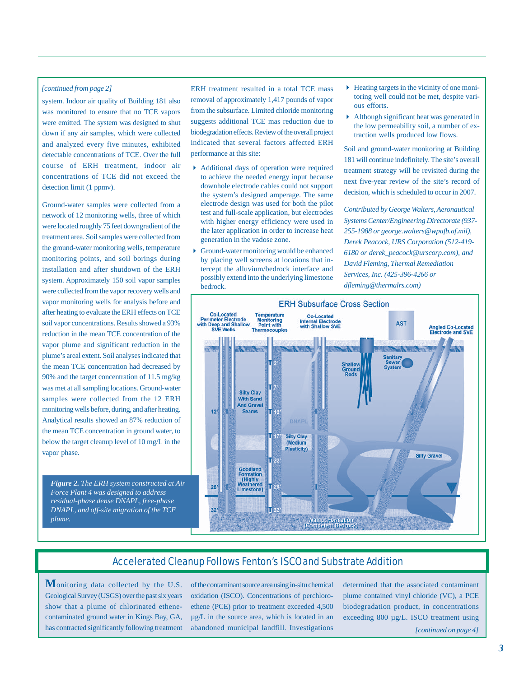#### *[continued from page 2]*

system. Indoor air quality of Building 181 also was monitored to ensure that no TCE vapors were emitted. The system was designed to shut down if any air samples, which were collected and analyzed every five minutes, exhibited detectable concentrations of TCE. Over the full course of ERH treatment, indoor air concentrations of TCE did not exceed the detection limit (1 ppmv).

Ground-water samples were collected from a network of 12 monitoring wells, three of which were located roughly 75 feet downgradient of the treatment area. Soil samples were collected from the ground-water monitoring wells, temperature monitoring points, and soil borings during installation and after shutdown of the ERH system. Approximately 150 soil vapor samples were collected from the vapor recovery wells and vapor monitoring wells for analysis before and after heating to evaluate the ERH effects on TCE soil vapor concentrations. Results showed a 93% reduction in the mean TCE concentration of the vapor plume and significant reduction in the plume's areal extent. Soil analyses indicated that the mean TCE concentration had decreased by 90% and the target concentration of 11.5 mg/kg was met at all sampling locations. Ground-water samples were collected from the 12 ERH monitoring wells before, during, and after heating. Analytical results showed an 87% reduction of the mean TCE concentration in ground water, to below the target cleanup level of 10 mg/L in the vapor phase.

*Figure 2. The ERH system constructed at Air Force Plant 4 was designed to address residual-phase dense DNAPL, free-phase DNAPL, and off-site migration of the TCE plume.*

ERH treatment resulted in a total TCE mass removal of approximately 1,417 pounds of vapor from the subsurface. Limited chloride monitoring suggests additional TCE mas reduction due to biodegradation effects. Review of the overall project indicated that several factors affected ERH performance at this site:

- Additional days of operation were required to achieve the needed energy input because downhole electrode cables could not support the system's designed amperage. The same electrode design was used for both the pilot test and full-scale application, but electrodes with higher energy efficiency were used in the later application in order to increase heat generation in the vadose zone.
- Ground-water monitoring would be enhanced by placing well screens at locations that intercept the alluvium/bedrock interface and possibly extend into the underlying limestone bedrock.
- $\blacktriangleright$  Heating targets in the vicinity of one monitoring well could not be met, despite various efforts.
- Although significant heat was generated in the low permeability soil, a number of extraction wells produced low flows.

Soil and ground-water monitoring at Building 181 will continue indefinitely. The site's overall treatment strategy will be revisited during the next five-year review of the site's record of decision, which is scheduled to occur in 2007.

*Contributed by George Walters, Aeronautical Systems Center/Engineering Directorate (937- 255-1988 or george.walters@wpafb.af.mil), Derek Peacock, URS Corporation (512-419- 6180 or derek\_peacock@urscorp.com), and David Fleming, Thermal Remediation Services, Inc. (425-396-4266 or dfleming@thermalrs.com)*



## Accelerated Cleanup Follows Fenton's ISCO and Substrate Addition

**M**onitoring data collected by the U.S. Geological Survey (USGS) over the past six years show that a plume of chlorinated ethenecontaminated ground water in Kings Bay, GA, has contracted significantly following treatment

of the contaminant source area using in-situ chemical oxidation (ISCO). Concentrations of perchloroethene (PCE) prior to treatment exceeded 4,500 µg/L in the source area, which is located in an abandoned municipal landfill. Investigations

determined that the associated contaminant plume contained vinyl chloride (VC), a PCE biodegradation product, in concentrations exceeding 800 µg/L. ISCO treatment using

*[continued on page 4]*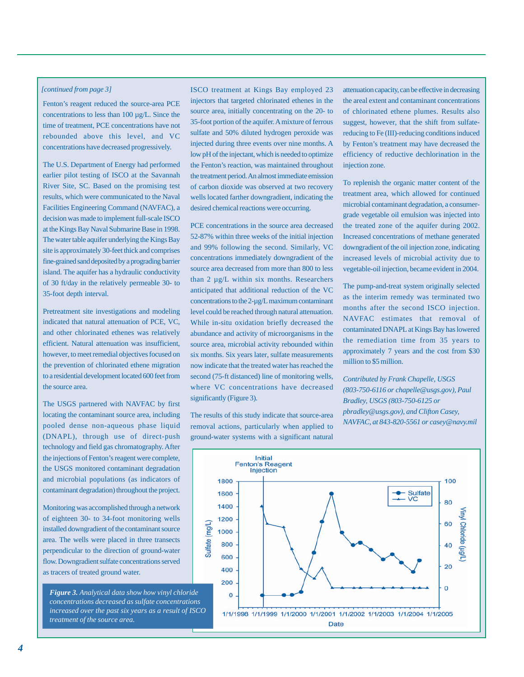#### *[continued from page 3]*

Fenton's reagent reduced the source-area PCE concentrations to less than 100 µg/L. Since the time of treatment, PCE concentrations have not rebounded above this level, and VC concentrations have decreased progressively.

The U.S. Department of Energy had performed earlier pilot testing of ISCO at the Savannah River Site, SC. Based on the promising test results, which were communicated to the Naval Facilities Engineering Command (NAVFAC), a decision was made to implement full-scale ISCO at the Kings Bay Naval Submarine Base in 1998. The water table aquifer underlying the Kings Bay site is approximately 30-feet thick and comprises fine-grained sand deposited by a prograding barrier island. The aquifer has a hydraulic conductivity of 30 ft/day in the relatively permeable 30- to 35-foot depth interval.

Pretreatment site investigations and modeling indicated that natural attenuation of PCE, VC, and other chlorinated ethenes was relatively efficient. Natural attenuation was insufficient, however, to meet remedial objectives focused on the prevention of chlorinated ethene migration to a residential development located 600 feet from the source area.

The USGS partnered with NAVFAC by first locating the contaminant source area, including pooled dense non-aqueous phase liquid (DNAPL), through use of direct-push technology and field gas chromatography. After the injections of Fenton's reagent were complete, the USGS monitored contaminant degradation and microbial populations (as indicators of contaminant degradation) throughout the project.

Monitoring was accomplished through a network of eighteen 30- to 34-foot monitoring wells installed downgradient of the contaminant source area. The wells were placed in three transects perpendicular to the direction of ground-water flow. Downgradient sulfate concentrations served as tracers of treated ground water.

*Figure 3. Analytical data show how vinyl chloride concentrations decreased as sulfate concentrations increased over the past six years as a result of ISCO treatment of the source area.*

ISCO treatment at Kings Bay employed 23 injectors that targeted chlorinated ethenes in the source area, initially concentrating on the 20- to 35-foot portion of the aquifer. A mixture of ferrous sulfate and 50% diluted hydrogen peroxide was injected during three events over nine months. A low pH of the injectant, which is needed to optimize the Fenton's reaction, was maintained throughout the treatment period. An almost immediate emission of carbon dioxide was observed at two recovery wells located farther downgradient, indicating the desired chemical reactions were occurring.

PCE concentrations in the source area decreased 52-87% within three weeks of the initial injection and 99% following the second. Similarly, VC concentrations immediately downgradient of the source area decreased from more than 800 to less than 2 µg/L within six months. Researchers anticipated that additional reduction of the VC concentrations to the 2-µg/L maximum contaminant level could be reached through natural attenuation. While in-situ oxidation briefly decreased the abundance and activity of microorganisms in the source area, microbial activity rebounded within six months. Six years later, sulfate measurements now indicate that the treated water has reached the second (75-ft distanced) line of monitoring wells, where VC concentrations have decreased significantly (Figure 3).

The results of this study indicate that source-area removal actions, particularly when applied to ground-water systems with a significant natural

attenuation capacity, can be effective in decreasing the areal extent and contaminant concentrations of chlorinated ethene plumes. Results also suggest, however, that the shift from sulfatereducing to Fe (III)-reducing conditions induced by Fenton's treatment may have decreased the efficiency of reductive dechlorination in the injection zone.

To replenish the organic matter content of the treatment area, which allowed for continued microbial contaminant degradation, a consumergrade vegetable oil emulsion was injected into the treated zone of the aquifer during 2002. Increased concentrations of methane generated downgradient of the oil injection zone, indicating increased levels of microbial activity due to vegetable-oil injection, became evident in 2004.

The pump-and-treat system originally selected as the interim remedy was terminated two months after the second ISCO injection. NAVFAC estimates that removal of contaminated DNAPL at Kings Bay has lowered the remediation time from 35 years to approximately 7 years and the cost from \$30 million to \$5 million.

*Contributed by Frank Chapelle, USGS (803-750-6116 or chapelle@usgs.gov), Paul Bradley, USGS (803-750-6125 or pbradley@usgs.gov), and Clifton Casey, NAVFAC, at 843-820-5561 or casey@navy.mil*

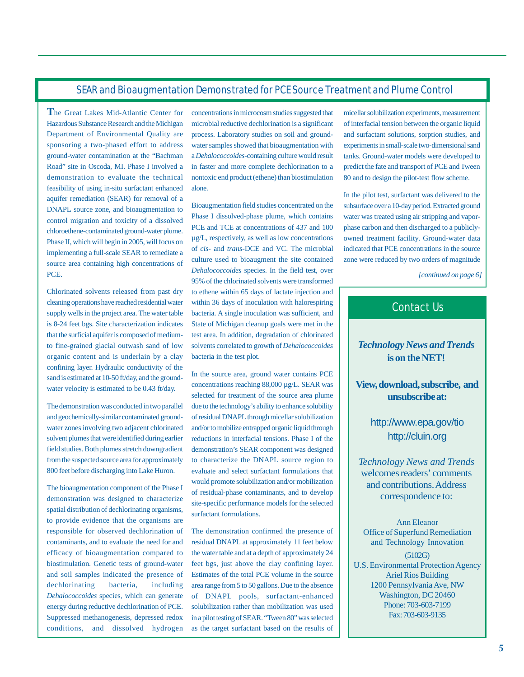### SEAR and Bioaugmentation Demonstrated for PCE Source Treatment and Plume Control

**T**he Great Lakes Mid-Atlantic Center for Hazardous Substance Research and the Michigan Department of Environmental Quality are sponsoring a two-phased effort to address ground-water contamination at the "Bachman Road" site in Oscoda, MI. Phase I involved a demonstration to evaluate the technical feasibility of using in-situ surfactant enhanced aquifer remediation (SEAR) for removal of a DNAPL source zone, and bioaugmentation to control migration and toxicity of a dissolved chloroethene-contaminated ground-water plume. Phase II, which will begin in 2005, will focus on implementing a full-scale SEAR to remediate a source area containing high concentrations of PCE.

Chlorinated solvents released from past dry cleaning operations have reached residential water supply wells in the project area. The water table is 8-24 feet bgs. Site characterization indicates that the surficial aquifer is composed of mediumto fine-grained glacial outwash sand of low organic content and is underlain by a clay confining layer. Hydraulic conductivity of the sand is estimated at 10-50 ft/day, and the groundwater velocity is estimated to be 0.43 ft/day.

The demonstration was conducted in two parallel and geochemically-similar contaminated groundwater zones involving two adjacent chlorinated solvent plumes that were identified during earlier field studies. Both plumes stretch downgradient from the suspected source area for approximately 800 feet before discharging into Lake Huron.

The bioaugmentation component of the Phase I demonstration was designed to characterize spatial distribution of dechlorinating organisms, to provide evidence that the organisms are responsible for observed dechlorination of contaminants, and to evaluate the need for and efficacy of bioaugmentation compared to biostimulation. Genetic tests of ground-water and soil samples indicated the presence of dechlorinating bacteria, including *Dehalococcoides* species, which can generate energy during reductive dechlorination of PCE. Suppressed methanogenesis, depressed redox conditions, and dissolved hydrogen

concentrations in microcosm studies suggested that microbial reductive dechlorination is a significant process. Laboratory studies on soil and groundwater samples showed that bioaugmentation with a *Dehalococcoides*-containing culture would result in faster and more complete dechlorination to a nontoxic end product (ethene) than biostimulation alone.

Bioaugmentation field studies concentrated on the Phase I dissolved-phase plume, which contains PCE and TCE at concentrations of 437 and 100 µg/L, respectively, as well as low concentrations of *cis*- and *trans*-DCE and VC. The microbial culture used to bioaugment the site contained *Dehalococcoides* species. In the field test, over 95% of the chlorinated solvents were transformed to ethene within 65 days of lactate injection and within 36 days of inoculation with halorespiring bacteria. A single inoculation was sufficient, and State of Michigan cleanup goals were met in the test area. In addition, degradation of chlorinated solvents correlated to growth of *Dehalococcoides* bacteria in the test plot.

In the source area, ground water contains PCE concentrations reaching 88,000 µg/L. SEAR was selected for treatment of the source area plume due to the technology's ability to enhance solubility of residual DNAPL through micellar solubilization and/or to mobilize entrapped organic liquid through reductions in interfacial tensions. Phase I of the demonstration's SEAR component was designed to characterize the DNAPL source region to evaluate and select surfactant formulations that would promote solubilization and/or mobilization of residual-phase contaminants, and to develop site-specific performance models for the selected surfactant formulations.

The demonstration confirmed the presence of residual DNAPL at approximately 11 feet below the water table and at a depth of approximately 24 feet bgs, just above the clay confining layer. Estimates of the total PCE volume in the source area range from 5 to 50 gallons. Due to the absence of DNAPL pools, surfactant-enhanced solubilization rather than mobilization was used in a pilot testing of SEAR. "Tween 80" was selected as the target surfactant based on the results of

micellar solubilization experiments, measurement of interfacial tension between the organic liquid and surfactant solutions, sorption studies, and experiments in small-scale two-dimensional sand tanks. Ground-water models were developed to predict the fate and transport of PCE and Tween 80 and to design the pilot-test flow scheme.

In the pilot test, surfactant was delivered to the subsurface over a 10-day period. Extracted ground water was treated using air stripping and vaporphase carbon and then discharged to a publiclyowned treatment facility. Ground-water data indicated that PCE concentrations in the source zone were reduced by two orders of magnitude

*[continued on page 6]*

# Contact Us

### *Technology News and Trends* **is on the NET!**

**View, download, subscribe, and unsubscribe at:**

> <http://www.epa.gov/tio> <http://cluin.org>

*Technology News and Trends* welcomes readers' comments and contributions. Address correspondence to:

Ann Eleanor Office of Superfund Remediation and Technology Innovation

(5102G) U.S. Environmental Protection Agency Ariel Rios Building 1200 Pennsylvania Ave, NW Washington, DC 20460 Phone: 703-603-7199 Fax: 703-603-9135